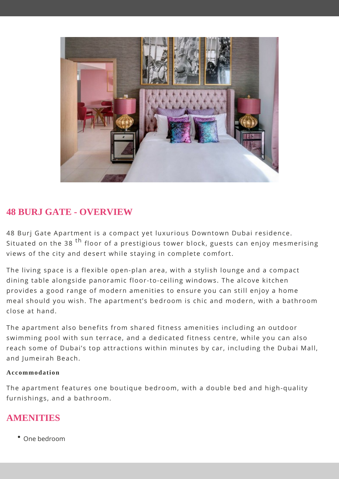

## **48 BURJ GATE - OVERVIEW**

48 Burj Gate Apartment is a compact yet luxurious Downtown Dubai residence. Situated on the 38<sup>th</sup> floor of a prestigious tower block, guests can enjoy mesmerising views of the city and desert while staying in complete comfort.

The living space is a flexible open-plan area, with a stylish lounge and a compact dining table alongside panoramic floor-to-ceiling windows. The alcove kitchen provides a good range of modern amenities to ensure you can still enjoy a home meal should you wish. The apartment's bedroom is chic and modern, with a bathroom close at hand.

The apartment also benefits from shared fitness amenities including an outdoor swimming pool with sun terrace, and a dedicated fitness centre, while you can also reach some of Dubai's top attractions within minutes by car, including the Dubai Mall, and Jumeirah Beach.

#### **Accommodation**

The apartment features one boutique bedroom, with a double bed and high-quality furnishings, and a bathroom.

### **AMENITIES**

One bedroom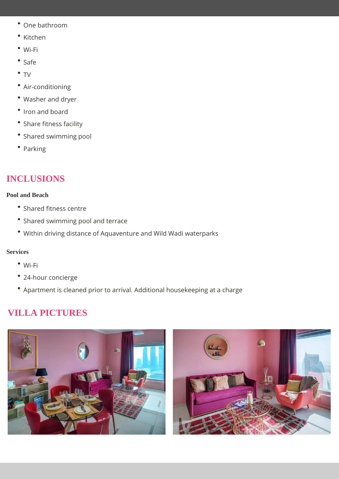- One bathroom
- Kitchen
- Wi-Fi
- Safe
- $\bullet$  TV
- Air-conditioning
- Washer and dryer
- Iron and board
- Share fitness facility
- Shared swimming pool
- Parking

### **INCLUSIONS**

### **Pool and Beach**

- Shared fitness centre
- Shared swimming pool and terrace
- Within driving distance of Aquaventure and Wild Wadi waterparks

#### **Services**

- Wi-Fi
- 24-hour concierge
- Apartment is cleaned prior to arrival. Additional housekeeping at a charge

# **VILLA PICTURES**

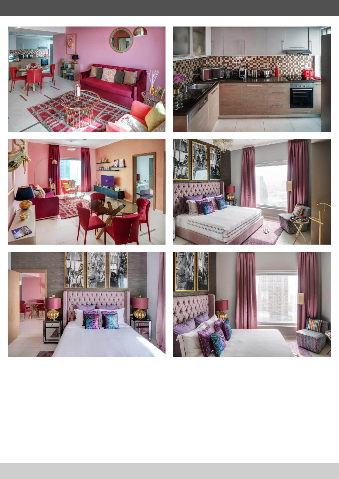